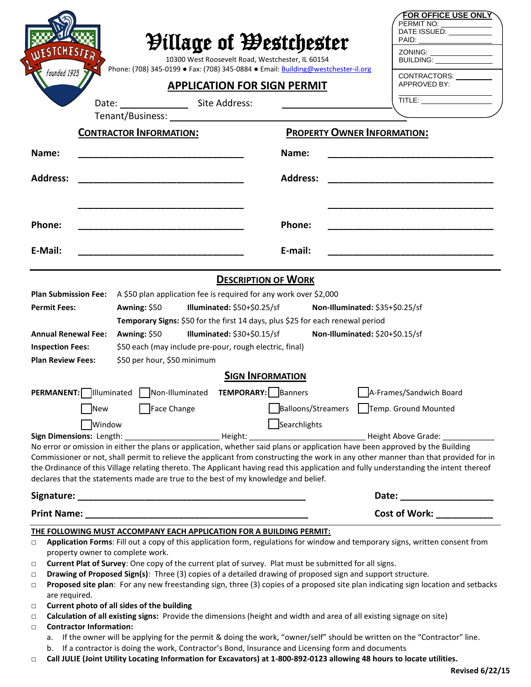| <b><i>Pillage of Westchester</i></b><br>10300 West Roosevelt Road, Westchester, IL 60154<br>Phone: (708) 345-0199 • Fax: (708) 345-0884 • Email: Building@westchester-il.org<br>founded 1925 |                                                                                                                                                                                                                                                                                                                                                                                                                                                                                                                                                                                                                                                                                                                                           |                                             | <b>FOR OFFICE USE ONLY</b><br>PERMIT NO:<br>DATE ISSUED: VALUE<br>PAID:<br>ZONING: ________________<br>BUILDING:                                                                                                                                                             |
|----------------------------------------------------------------------------------------------------------------------------------------------------------------------------------------------|-------------------------------------------------------------------------------------------------------------------------------------------------------------------------------------------------------------------------------------------------------------------------------------------------------------------------------------------------------------------------------------------------------------------------------------------------------------------------------------------------------------------------------------------------------------------------------------------------------------------------------------------------------------------------------------------------------------------------------------------|---------------------------------------------|------------------------------------------------------------------------------------------------------------------------------------------------------------------------------------------------------------------------------------------------------------------------------|
| <b>APPLICATION FOR SIGN PERMIT</b>                                                                                                                                                           |                                                                                                                                                                                                                                                                                                                                                                                                                                                                                                                                                                                                                                                                                                                                           |                                             | CONTRACTORS: _________<br>APPROVED BY:                                                                                                                                                                                                                                       |
|                                                                                                                                                                                              | Date: Site Address:                                                                                                                                                                                                                                                                                                                                                                                                                                                                                                                                                                                                                                                                                                                       |                                             | TITLE: <b>All and Service Contracts</b>                                                                                                                                                                                                                                      |
|                                                                                                                                                                                              | Tenant/Business: Tenant Assembly                                                                                                                                                                                                                                                                                                                                                                                                                                                                                                                                                                                                                                                                                                          |                                             |                                                                                                                                                                                                                                                                              |
|                                                                                                                                                                                              | <b>CONTRACTOR INFORMATION:</b>                                                                                                                                                                                                                                                                                                                                                                                                                                                                                                                                                                                                                                                                                                            |                                             | <b>PROPERTY OWNER INFORMATION:</b>                                                                                                                                                                                                                                           |
| Name:                                                                                                                                                                                        |                                                                                                                                                                                                                                                                                                                                                                                                                                                                                                                                                                                                                                                                                                                                           | Name:                                       |                                                                                                                                                                                                                                                                              |
| <b>Address:</b>                                                                                                                                                                              |                                                                                                                                                                                                                                                                                                                                                                                                                                                                                                                                                                                                                                                                                                                                           | <b>Address:</b>                             |                                                                                                                                                                                                                                                                              |
| Phone:                                                                                                                                                                                       |                                                                                                                                                                                                                                                                                                                                                                                                                                                                                                                                                                                                                                                                                                                                           | Phone:                                      |                                                                                                                                                                                                                                                                              |
| E-Mail:                                                                                                                                                                                      |                                                                                                                                                                                                                                                                                                                                                                                                                                                                                                                                                                                                                                                                                                                                           | E-mail:                                     |                                                                                                                                                                                                                                                                              |
|                                                                                                                                                                                              |                                                                                                                                                                                                                                                                                                                                                                                                                                                                                                                                                                                                                                                                                                                                           | <b>DESCRIPTION OF WORK</b>                  |                                                                                                                                                                                                                                                                              |
| <b>Plan Submission Fee:</b><br><b>Permit Fees:</b><br><b>Annual Renewal Fee:</b><br><b>Inspection Fees:</b><br><b>Plan Review Fees:</b>                                                      | A \$50 plan application fee is required for any work over \$2,000<br>Awning: \$50<br>Illuminated: $$50+\$0.25/sf$<br>Non-Illuminated: \$35+\$0.25/sf<br>Temporary Signs: \$50 for the first 14 days, plus \$25 for each renewal period<br>Non-Illuminated: \$20+\$0.15/sf<br>Awning: \$50<br>Illuminated: $$30+$0.15/sf$<br>\$50 each (may include pre-pour, rough electric, final)<br>\$50 per hour, \$50 minimum                                                                                                                                                                                                                                                                                                                        |                                             |                                                                                                                                                                                                                                                                              |
|                                                                                                                                                                                              |                                                                                                                                                                                                                                                                                                                                                                                                                                                                                                                                                                                                                                                                                                                                           | <b>SIGN INFORMATION</b>                     |                                                                                                                                                                                                                                                                              |
| <b>PERMANENT:</b> Illuminated<br>New<br><b>Window</b>                                                                                                                                        | Non-Illuminated<br>Face Change                                                                                                                                                                                                                                                                                                                                                                                                                                                                                                                                                                                                                                                                                                            | <b>TEMPORARY:</b>   Banners<br>Searchlights | A-Frames/Sandwich Board<br>Balloons/Streamers   Temp. Ground Mounted                                                                                                                                                                                                         |
| Sign Dimensions: Length:                                                                                                                                                                     |                                                                                                                                                                                                                                                                                                                                                                                                                                                                                                                                                                                                                                                                                                                                           |                                             |                                                                                                                                                                                                                                                                              |
|                                                                                                                                                                                              | No error or omission in either the plans or application, whether said plans or application have been approved by the Building<br>declares that the statements made are true to the best of my knowledge and belief.                                                                                                                                                                                                                                                                                                                                                                                                                                                                                                                       |                                             | Commissioner or not, shall permit to relieve the applicant from constructing the work in any other manner than that provided for in<br>the Ordinance of this Village relating thereto. The Applicant having read this application and fully understanding the intent thereof |
|                                                                                                                                                                                              |                                                                                                                                                                                                                                                                                                                                                                                                                                                                                                                                                                                                                                                                                                                                           |                                             |                                                                                                                                                                                                                                                                              |
|                                                                                                                                                                                              |                                                                                                                                                                                                                                                                                                                                                                                                                                                                                                                                                                                                                                                                                                                                           |                                             | Cost of Work: ___________                                                                                                                                                                                                                                                    |
| $\Box$<br>property owner to complete work.<br>$\Box$<br>$\Box$<br>$\Box$<br>are required.<br>$\Box$<br>$\Box$<br><b>Contractor Information:</b><br>$\Box$                                    | <b>THE FOLLOWING MUST ACCOMPANY EACH APPLICATION FOR A BUILDING PERMIT:</b><br>Application Forms: Fill out a copy of this application form, regulations for window and temporary signs, written consent from<br>Current Plat of Survey: One copy of the current plat of survey. Plat must be submitted for all signs.<br>Drawing of Proposed Sign(s): Three (3) copies of a detailed drawing of proposed sign and support structure.<br>Current photo of all sides of the building<br>Calculation of all existing signs: Provide the dimensions (height and width and area of all existing signage on site)<br>a. If the owner will be applying for the permit & doing the work, "owner/self" should be written on the "Contractor" line. |                                             | Proposed site plan: For any new freestanding sign, three (3) copies of a proposed site plan indicating sign location and setbacks                                                                                                                                            |
| b.<br>$\Box$                                                                                                                                                                                 | If a contractor is doing the work, Contractor's Bond, Insurance and Licensing form and documents<br>Call JULIE (Joint Utility Locating Information for Excavators) at 1-800-892-0123 allowing 48 hours to locate utilities.                                                                                                                                                                                                                                                                                                                                                                                                                                                                                                               |                                             |                                                                                                                                                                                                                                                                              |